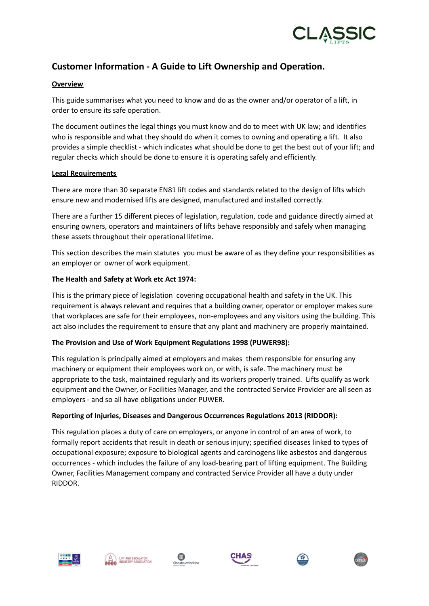

# **Customer Information - A Guide to Lift Ownership and Operation.**

#### **Overview**

This guide summarises what you need to know and do as the owner and/or operator of a lift, in order to ensure its safe operation.

The document outlines the legal things you must know and do to meet with UK law; and identifies who is responsible and what they should do when it comes to owning and operating a lift. It also provides a simple checklist - which indicates what should be done to get the best out of your lift; and regular checks which should be done to ensure it is operating safely and efficiently.

## **Legal Requirements**

There are more than 30 separate EN81 lift codes and standards related to the design of lifts which ensure new and modernised lifts are designed, manufactured and installed correctly.

There are a further 15 different pieces of legislation, regulation, code and guidance directly aimed at ensuring owners, operators and maintainers of lifts behave responsibly and safely when managing these assets throughout their operational lifetime.

This section describes the main statutes you must be aware of as they define your responsibilities as an employer or owner of work equipment.

## **The Health and Safety at Work etc Act 1974:**

This is the primary piece of legislation covering occupational health and safety in the UK. This requirement is always relevant and requires that a building owner, operator or employer makes sure that workplaces are safe for their employees, non-employees and any visitors using the building. This act also includes the requirement to ensure that any plant and machinery are properly maintained.

#### **The Provision and Use of Work Equipment Regulations 1998 (PUWER98):**

This regulation is principally aimed at employers and makes them responsible for ensuring any machinery or equipment their employees work on, or with, is safe. The machinery must be appropriate to the task, maintained regularly and its workers properly trained. Lifts qualify as work equipment and the Owner, or Facilities Manager, and the contracted Service Provider are all seen as employers - and so all have obligations under PUWER.

#### **Reporting of Injuries, Diseases and Dangerous Occurrences Regulations 2013 (RIDDOR):**

This regulation places a duty of care on employers, or anyone in control of an area of work, to formally report accidents that result in death or serious injury; specified diseases linked to types of occupational exposure; exposure to biological agents and carcinogens like asbestos and dangerous occurrences - which includes the failure of any load-bearing part of lifting equipment. The Building Owner, Facilities Management company and contracted Service Provider all have a duty under RIDDOR.











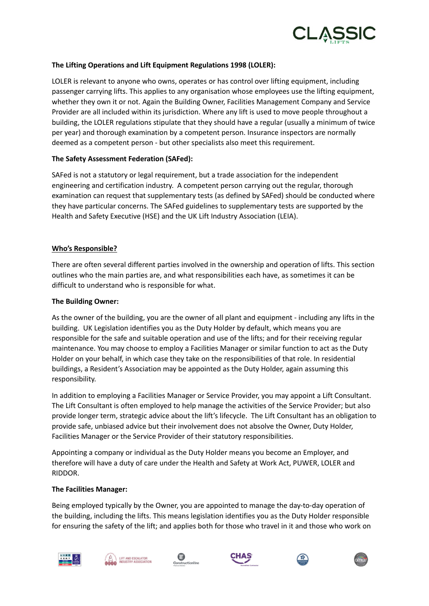

## **The Lifting Operations and Lift Equipment Regulations 1998 (LOLER):**

LOLER is relevant to anyone who owns, operates or has control over lifting equipment, including passenger carrying lifts. This applies to any organisation whose employees use the lifting equipment, whether they own it or not. Again the Building Owner, Facilities Management Company and Service Provider are all included within its jurisdiction. Where any lift is used to move people throughout a building, the LOLER regulations stipulate that they should have a regular (usually a minimum of twice per year) and thorough examination by a competent person. Insurance inspectors are normally deemed as a competent person - but other specialists also meet this requirement.

## **The Safety Assessment Federation (SAFed):**

SAFed is not a statutory or legal requirement, but a trade association for the independent engineering and certification industry. A competent person carrying out the regular, thorough examination can request that supplementary tests (as defined by SAFed) should be conducted where they have particular concerns. The SAFed guidelines to supplementary tests are supported by the Health and Safety Executive (HSE) and the UK Lift Industry Association (LEIA).

## **Who's Responsible?**

There are often several different parties involved in the ownership and operation of lifts. This section outlines who the main parties are, and what responsibilities each have, as sometimes it can be difficult to understand who is responsible for what.

#### **The Building Owner:**

As the owner of the building, you are the owner of all plant and equipment - including any lifts in the building. UK Legislation identifies you as the Duty Holder by default, which means you are responsible for the safe and suitable operation and use of the lifts; and for their receiving regular maintenance. You may choose to employ a Facilities Manager or similar function to act as the Duty Holder on your behalf, in which case they take on the responsibilities of that role. In residential buildings, a Resident's Association may be appointed as the Duty Holder, again assuming this responsibility.

In addition to employing a Facilities Manager or Service Provider, you may appoint a Lift Consultant. The Lift Consultant is often employed to help manage the activities of the Service Provider; but also provide longer term, strategic advice about the lift's lifecycle. The Lift Consultant has an obligation to provide safe, unbiased advice but their involvement does not absolve the Owner, Duty Holder, Facilities Manager or the Service Provider of their statutory responsibilities.

Appointing a company or individual as the Duty Holder means you become an Employer, and therefore will have a duty of care under the Health and Safety at Work Act, PUWER, LOLER and RIDDOR.

#### **The Facilities Manager:**

Being employed typically by the Owner, you are appointed to manage the day-to-day operation of the building, including the lifts. This means legislation identifies you as the Duty Holder responsible for ensuring the safety of the lift; and applies both for those who travel in it and those who work on











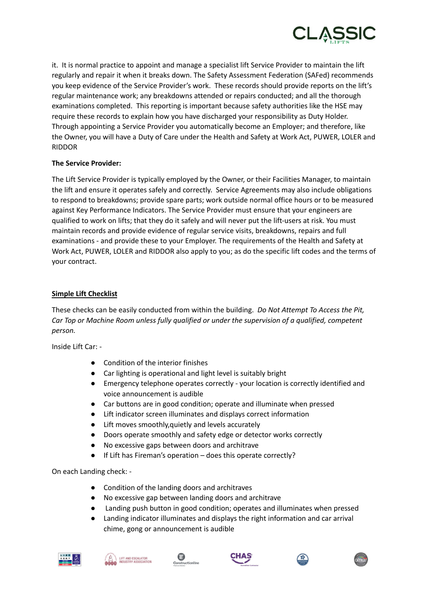

it. It is normal practice to appoint and manage a specialist lift Service Provider to maintain the lift regularly and repair it when it breaks down. The Safety Assessment Federation (SAFed) recommends you keep evidence of the Service Provider's work. These records should provide reports on the lift's regular maintenance work; any breakdowns attended or repairs conducted; and all the thorough examinations completed. This reporting is important because safety authorities like the HSE may require these records to explain how you have discharged your responsibility as Duty Holder. Through appointing a Service Provider you automatically become an Employer; and therefore, like the Owner, you will have a Duty of Care under the Health and Safety at Work Act, PUWER, LOLER and RIDDOR

# **The Service Provider:**

The Lift Service Provider is typically employed by the Owner, or their Facilities Manager, to maintain the lift and ensure it operates safely and correctly. Service Agreements may also include obligations to respond to breakdowns; provide spare parts; work outside normal office hours or to be measured against Key Performance Indicators. The Service Provider must ensure that your engineers are qualified to work on lifts; that they do it safely and will never put the lift-users at risk. You must maintain records and provide evidence of regular service visits, breakdowns, repairs and full examinations - and provide these to your Employer. The requirements of the Health and Safety at Work Act, PUWER, LOLER and RIDDOR also apply to you; as do the specific lift codes and the terms of your contract.

## **Simple Lift Checklist**

These checks can be easily conducted from within the building. *Do Not Attempt To Access the Pit, Car Top or Machine Room unless fully qualified or under the supervision of a qualified, competent person.*

Inside Lift Car: -

- Condition of the interior finishes
- Car lighting is operational and light level is suitably bright
- Emergency telephone operates correctly your location is correctly identified and voice announcement is audible
- Car buttons are in good condition; operate and illuminate when pressed
- Lift indicator screen illuminates and displays correct information
- Lift moves smoothly,quietly and levels accurately
- Doors operate smoothly and safety edge or detector works correctly
- No excessive gaps between doors and architrave
- If Lift has Fireman's operation does this operate correctly?

On each Landing check: -

- Condition of the landing doors and architraves
- No excessive gap between landing doors and architrave
- Landing push button in good condition; operates and illuminates when pressed
- Landing indicator illuminates and displays the right information and car arrival chime, gong or announcement is audible